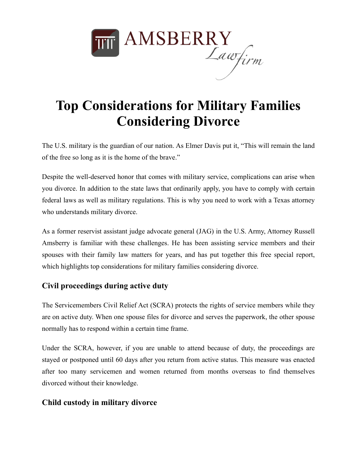

# **Top Considerations for Military Families Considering Divorce**

The U.S. military is the guardian of our nation. As Elmer Davis put it, "This will remain the land of the free so long as it is the home of the brave."

Despite the well-deserved honor that comes with military service, complications can arise when you divorce. In addition to the state laws that ordinarily apply, you have to comply with certain federal laws as well as military regulations. This is why you need to work with a Texas attorney who understands military divorce.

As a former reservist assistant judge advocate general (JAG) in the U.S. Army, Attorney Russell Amsberry is familiar with these challenges. He has been assisting service members and their spouses with their family law matters for years, and has put together this free special report, which highlights top considerations for military families considering divorce.

## **Civil proceedings during active duty**

The Servicemembers Civil Relief Act (SCRA) protects the rights of service members while they are on active duty. When one spouse files for divorce and serves the paperwork, the other spouse normally has to respond within a certain time frame.

Under the SCRA, however, if you are unable to attend because of duty, the proceedings are stayed or postponed until 60 days after you return from active status. This measure was enacted after too many servicemen and women returned from months overseas to find themselves divorced without their knowledge.

#### **Child custody in military divorce**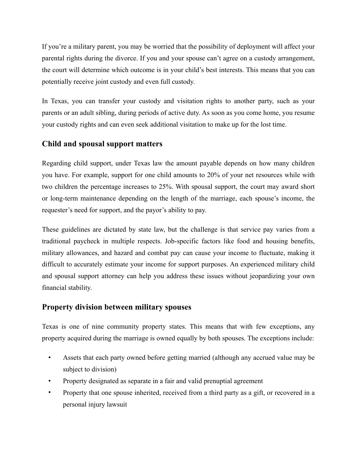If you're a military parent, you may be worried that the possibility of deployment will affect your parental rights during the divorce. If you and your spouse can't agree on a custody arrangement, the court will determine which outcome is in your child's best interests. This means that you can potentially receive joint custody and even full custody.

In Texas, you can transfer your custody and visitation rights to another party, such as your parents or an adult sibling, during periods of active duty. As soon as you come home, you resume your custody rights and can even seek additional visitation to make up for the lost time.

### **Child and spousal support matters**

Regarding child support, under Texas law the amount payable depends on how many children you have. For example, support for one child amounts to 20% of your net resources while with two children the percentage increases to 25%. With spousal support, the court may award short or long-term maintenance depending on the length of the marriage, each spouse's income, the requester's need for support, and the payor's ability to pay.

These guidelines are dictated by state law, but the challenge is that service pay varies from a traditional paycheck in multiple respects. Job-specific factors like food and housing benefits, military allowances, and hazard and combat pay can cause your income to fluctuate, making it difficult to accurately estimate your income for support purposes. An experienced military child and spousal support attorney can help you address these issues without jeopardizing your own financial stability.

#### **Property division between military spouses**

Texas is one of nine community property states. This means that with few exceptions, any property acquired during the marriage is owned equally by both spouses. The exceptions include:

- Assets that each party owned before getting married (although any accrued value may be subject to division)
- Property designated as separate in a fair and valid prenuptial agreement
- Property that one spouse inherited, received from a third party as a gift, or recovered in a personal injury lawsuit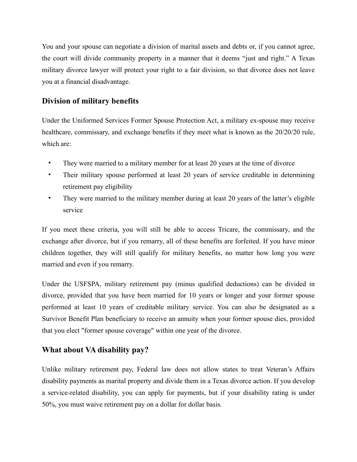You and your spouse can negotiate a division of marital assets and debts or, if you cannot agree, the court will divide community property in a manner that it deems "just and right." A Texas military divorce lawyer will protect your right to a fair division, so that divorce does not leave you at a financial disadvantage.

## **Division of military benefits**

Under the Uniformed Services Former Spouse Protection Act, a military ex-spouse may receive healthcare, commissary, and exchange benefits if they meet what is known as the 20/20/20 rule, which are:

- They were married to a military member for at least 20 years at the time of divorce
- Their military spouse performed at least 20 years of service creditable in determining retirement pay eligibility
- They were married to the military member during at least 20 years of the latter's eligible service

If you meet these criteria, you will still be able to access Tricare, the commissary, and the exchange after divorce, but if you remarry, all of these benefits are forfeited. If you have minor children together, they will still qualify for military benefits, no matter how long you were married and even if you remarry.

Under the USFSPA, military retirement pay (minus qualified deductions) can be divided in divorce, provided that you have been married for 10 years or longer and your former spouse performed at least 10 years of creditable military service. You can also be designated as a Survivor Benefit Plan beneficiary to receive an annuity when your former spouse dies, provided that you elect "former spouse coverage" within one year of the divorce.

#### **What about VA disability pay?**

Unlike military retirement pay, Federal law does not allow states to treat Veteran's Affairs disability payments as marital property and divide them in a Texas divorce action. If you develop a service-related disability, you can apply for payments, but if your disability rating is under 50%, you must waive retirement pay on a dollar for dollar basis.